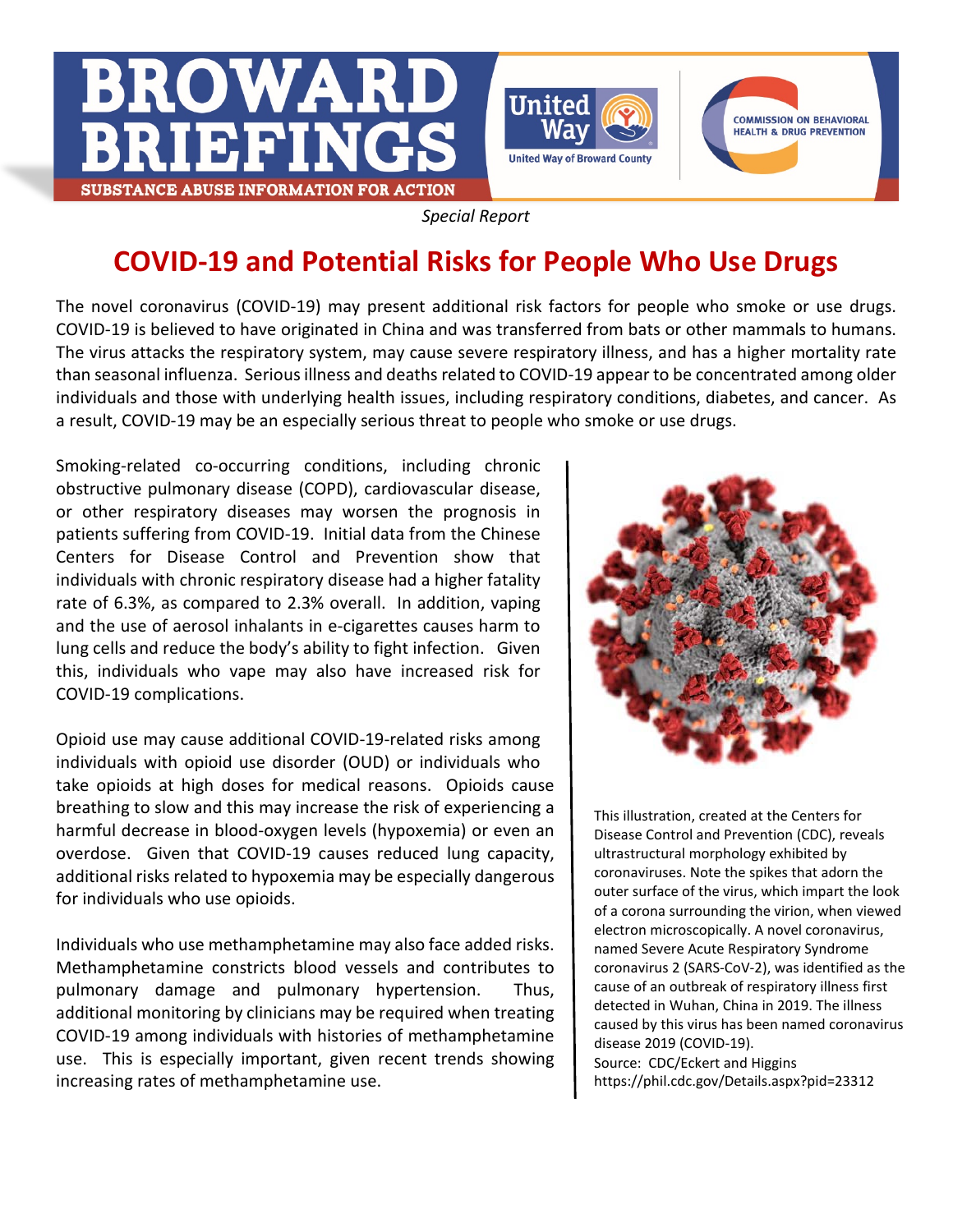





*Special Report*

## **COVID-19 and Potential Risks for People Who Use Drugs**

The novel coronavirus (COVID-19) may present additional risk factors for people who smoke or use drugs. COVID-19 is believed to have originated in China and was transferred from bats or other mammals to humans. The virus attacks the respiratory system, may cause severe respiratory illness, and has a higher mortality rate than seasonal influenza. Serious illness and deaths related to COVID-19 appear to be concentrated among older individuals and those with underlying health issues, including respiratory conditions, diabetes, and cancer. As a result, COVID-19 may be an especially serious threat to people who smoke or use drugs.

Smoking-related co-occurring conditions, including chronic obstructive pulmonary disease (COPD), cardiovascular disease, or other respiratory diseases may worsen the prognosis in patients suffering from COVID-19. Initial data from the Chinese Centers for Disease Control and Prevention show that individuals with chronic respiratory disease had a higher fatality rate of 6.3%, as compared to 2.3% overall. In addition, vaping and the use of aerosol inhalants in e-cigarettes causes harm to lung cells and reduce the body's ability to fight infection. Given this, individuals who vape may also have increased risk for COVID-19 complications.

Opioid use may cause additional COVID-19-related risks among individuals with opioid use disorder (OUD) or individuals who take opioids at high doses for medical reasons. Opioids cause breathing to slow and this may increase the risk of experiencing a harmful decrease in blood-oxygen levels (hypoxemia) or even an overdose. Given that COVID-19 causes reduced lung capacity, additional risks related to hypoxemia may be especially dangerous for individuals who use opioids.

Individuals who use methamphetamine may also face added risks. Methamphetamine constricts blood vessels and contributes to pulmonary damage and pulmonary hypertension. Thus, additional monitoring by clinicians may be required when treating COVID-19 among individuals with histories of methamphetamine use. This is especially important, given recent trends showing increasing rates of methamphetamine use.



This illustration, created at the Centers for Disease Control and Prevention (CDC), reveals ultrastructural morphology exhibited by coronaviruses. Note the spikes that adorn the outer surface of the virus, which impart the look of a corona surrounding the virion, when viewed electron microscopically. A novel coronavirus, named Severe Acute Respiratory Syndrome coronavirus 2 (SARS-CoV-2), was identified as the cause of an outbreak of respiratory illness first detected in Wuhan, China in 2019. The illness caused by this virus has been named coronavirus disease 2019 (COVID-19). Source: CDC/Eckert and Higgins

https://phil.cdc.gov/Details.aspx?pid=23312